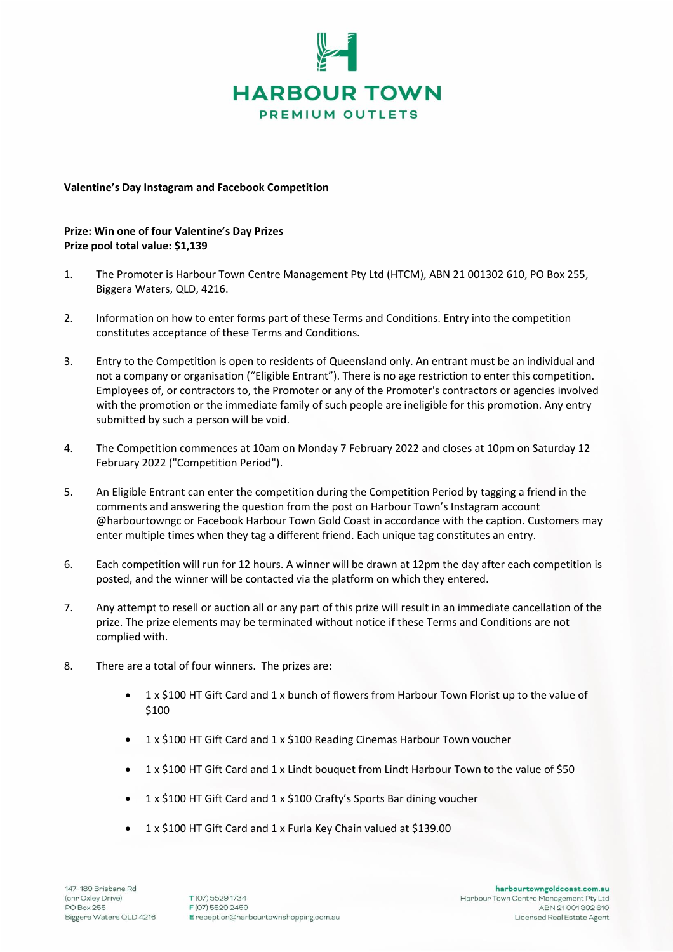

## **Valentine's Day Instagram and Facebook Competition**

## **Prize: Win one of four Valentine's Day Prizes Prize pool total value: \$1,139**

- 1. The Promoter is Harbour Town Centre Management Pty Ltd (HTCM), ABN 21 001302 610, PO Box 255, Biggera Waters, QLD, 4216.
- 2. Information on how to enter forms part of these Terms and Conditions. Entry into the competition constitutes acceptance of these Terms and Conditions.
- 3. Entry to the Competition is open to residents of Queensland only. An entrant must be an individual and not a company or organisation ("Eligible Entrant"). There is no age restriction to enter this competition. Employees of, or contractors to, the Promoter or any of the Promoter's contractors or agencies involved with the promotion or the immediate family of such people are ineligible for this promotion. Any entry submitted by such a person will be void.
- 4. The Competition commences at 10am on Monday 7 February 2022 and closes at 10pm on Saturday 12 February 2022 ("Competition Period").
- 5. An Eligible Entrant can enter the competition during the Competition Period by tagging a friend in the comments and answering the question from the post on Harbour Town's Instagram account @harbourtowngc or Facebook Harbour Town Gold Coast in accordance with the caption. Customers may enter multiple times when they tag a different friend. Each unique tag constitutes an entry.
- 6. Each competition will run for 12 hours. A winner will be drawn at 12pm the day after each competition is posted, and the winner will be contacted via the platform on which they entered.
- 7. Any attempt to resell or auction all or any part of this prize will result in an immediate cancellation of the prize. The prize elements may be terminated without notice if these Terms and Conditions are not complied with.
- 8. There are a total of four winners. The prizes are:
	- 1 x \$100 HT Gift Card and 1 x bunch of flowers from Harbour Town Florist up to the value of \$100
	- 1 x \$100 HT Gift Card and 1 x \$100 Reading Cinemas Harbour Town voucher
	- 1 x \$100 HT Gift Card and 1 x Lindt bouquet from Lindt Harbour Town to the value of \$50
	- 1 x \$100 HT Gift Card and 1 x \$100 Crafty's Sports Bar dining voucher
	- 1 x \$100 HT Gift Card and 1 x Furla Key Chain valued at \$139.00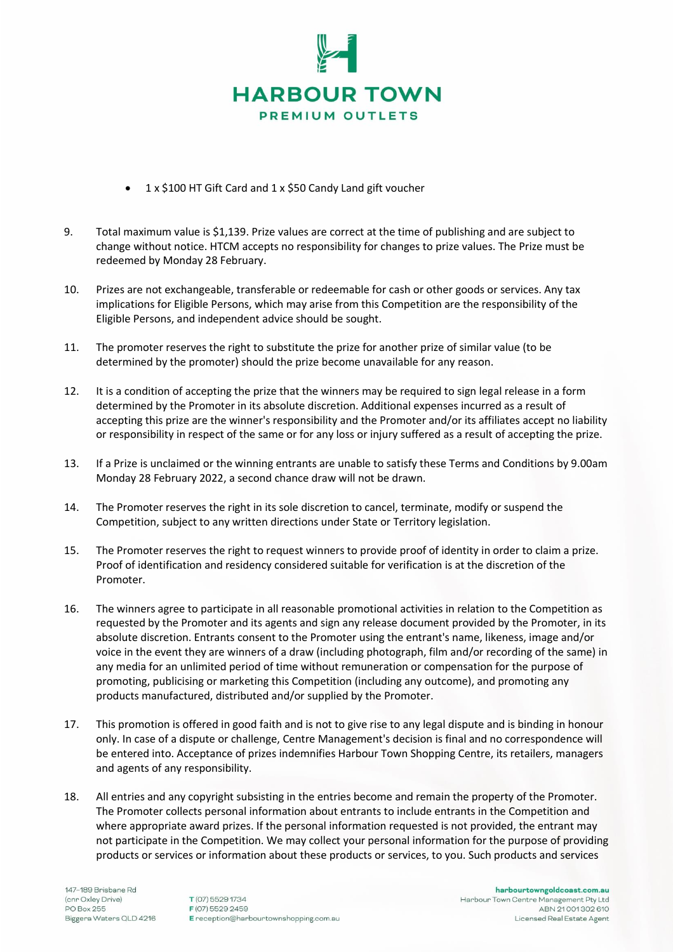

- 1 x \$100 HT Gift Card and 1 x \$50 Candy Land gift voucher
- 9. Total maximum value is \$1,139. Prize values are correct at the time of publishing and are subject to change without notice. HTCM accepts no responsibility for changes to prize values. The Prize must be redeemed by Monday 28 February.
- 10. Prizes are not exchangeable, transferable or redeemable for cash or other goods or services. Any tax implications for Eligible Persons, which may arise from this Competition are the responsibility of the Eligible Persons, and independent advice should be sought.
- 11. The promoter reserves the right to substitute the prize for another prize of similar value (to be determined by the promoter) should the prize become unavailable for any reason.
- 12. It is a condition of accepting the prize that the winners may be required to sign legal release in a form determined by the Promoter in its absolute discretion. Additional expenses incurred as a result of accepting this prize are the winner's responsibility and the Promoter and/or its affiliates accept no liability or responsibility in respect of the same or for any loss or injury suffered as a result of accepting the prize.
- 13. If a Prize is unclaimed or the winning entrants are unable to satisfy these Terms and Conditions by 9.00am Monday 28 February 2022, a second chance draw will not be drawn.
- 14. The Promoter reserves the right in its sole discretion to cancel, terminate, modify or suspend the Competition, subject to any written directions under State or Territory legislation.
- 15. The Promoter reserves the right to request winners to provide proof of identity in order to claim a prize. Proof of identification and residency considered suitable for verification is at the discretion of the Promoter.
- 16. The winners agree to participate in all reasonable promotional activities in relation to the Competition as requested by the Promoter and its agents and sign any release document provided by the Promoter, in its absolute discretion. Entrants consent to the Promoter using the entrant's name, likeness, image and/or voice in the event they are winners of a draw (including photograph, film and/or recording of the same) in any media for an unlimited period of time without remuneration or compensation for the purpose of promoting, publicising or marketing this Competition (including any outcome), and promoting any products manufactured, distributed and/or supplied by the Promoter.
- 17. This promotion is offered in good faith and is not to give rise to any legal dispute and is binding in honour only. In case of a dispute or challenge, Centre Management's decision is final and no correspondence will be entered into. Acceptance of prizes indemnifies Harbour Town Shopping Centre, its retailers, managers and agents of any responsibility.
- 18. All entries and any copyright subsisting in the entries become and remain the property of the Promoter. The Promoter collects personal information about entrants to include entrants in the Competition and where appropriate award prizes. If the personal information requested is not provided, the entrant may not participate in the Competition. We may collect your personal information for the purpose of providing products or services or information about these products or services, to you. Such products and services